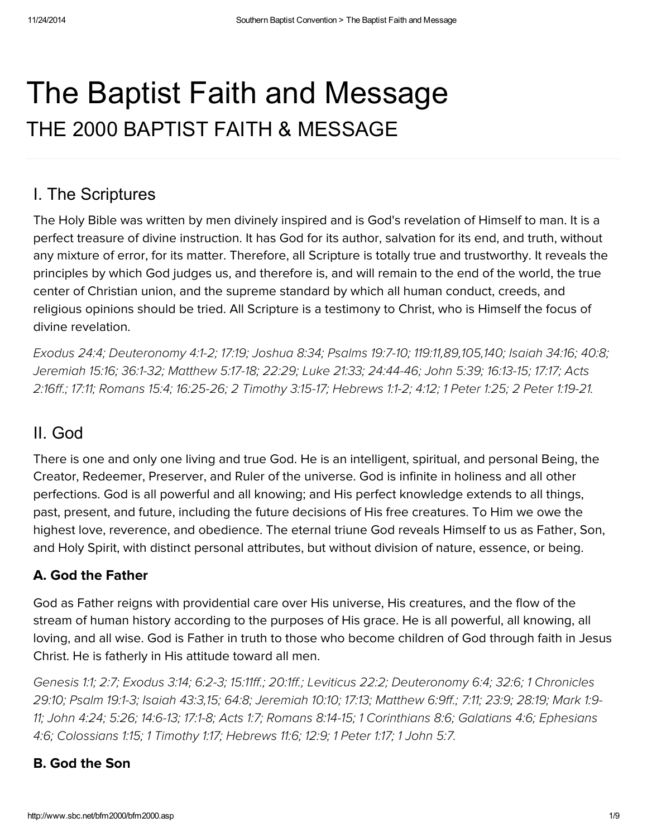# The Baptist Faith and Message THE 2000 BAPTIST FAITH & MESSAGE

## I. The Scriptures

The Holy Bible was written by men divinely inspired and is God's revelation of Himself to man. It is a perfect treasure of divine instruction. It has God for its author, salvation for its end, and truth, without any mixture of error, for its matter. Therefore, all Scripture is totally true and trustworthy. It reveals the principles by which God judges us, and therefore is, and will remain to the end of the world, the true center of Christian union, and the supreme standard by which all human conduct, creeds, and religious opinions should be tried. All Scripture is a testimony to Christ, who is Himself the focus of divine revelation.

[Exodus](http://biblia.com/bible/hcsb/Exodus%2024.4) 24:4; [Deuteronomy](http://biblia.com/bible/hcsb/Deuteronomy%204.1-2) 4:1-2; [17:19;](http://biblia.com/bible/hcsb/Deuteronomy%2017.19) [Joshua](http://biblia.com/bible/hcsb/Joshua%208.34) 8:34; [Psalms](http://biblia.com/bible/hcsb/Psalms%2019.7-10) 19:7-10; [119:11](http://biblia.com/bible/hcsb/Psalms%20119.11),[89,](http://biblia.com/bible/hcsb/Psalms%20119.89)[105](http://biblia.com/bible/hcsb/Psalms%20119.105)[,140;](http://biblia.com/bible/hcsb/Psalms%20119.140) [Isaiah](http://biblia.com/bible/hcsb/Isaiah%2034.16) 34:16; [40:8;](http://biblia.com/bible/hcsb/Isaiah%2040.8) [Jeremiah](http://biblia.com/bible/hcsb/Jeremiah%2015.16) 15:16; [36:1-32;](http://biblia.com/bible/hcsb/Jeremiah%2036.1-32) [Matthew](http://biblia.com/bible/hcsb/Matthew%205.17-18) 5:17-18; [22:29;](http://biblia.com/bible/hcsb/Matthew%2022.29) Luke [21:33;](http://biblia.com/bible/hcsb/Luke%2021.33) [2](http://biblia.com/bible/hcsb/Acts%202.16ff)[4:44-46](http://biblia.com/bible/hcsb/Luke%2024.44-46)[;](http://biblia.com/bible/hcsb/Acts%202.16ff) [John](http://biblia.com/bible/hcsb/John%205.39) 5:39; [16:13-15;](http://biblia.com/bible/hcsb/John%2016.13-15) [17:17;](http://biblia.com/bible/hcsb/John%2017.17) Acts 2:16ff.; [17:11;](http://biblia.com/bible/hcsb/Acts%2017.11) [Romans](http://biblia.com/bible/hcsb/Romans%2015.4) 15:4; [16:25-26;](http://biblia.com/bible/hcsb/Romans%2016.25-26) 2 [Timothy](http://biblia.com/bible/hcsb/2%20Timothy%203.15-17) 3:15-17; [Hebrews](http://biblia.com/bible/hcsb/Hebrews%201.1-2) 1:1-2; [4:12;](http://biblia.com/bible/hcsb/Hebrews%204.12) 1 [Peter](http://biblia.com/bible/hcsb/1%20Peter%201.25) 1:25; 2 Peter [1:19-21.](http://biblia.com/bible/hcsb/2%20Peter%201.19-21)

# II. God

There is one and only one living and true God. He is an intelligent, spiritual, and personal Being, the Creator, Redeemer, Preserver, and Ruler of the universe. God is infinite in holiness and all other perfections. God is all powerful and all knowing; and His perfect knowledge extends to all things, past, present, and future, including the future decisions of His free creatures. To Him we owe the highest love, reverence, and obedience. The eternal triune God reveals Himself to us as Father, Son, and Holy Spirit, with distinct personal attributes, but without division of nature, essence, or being.

#### A. God the Father

God as Father reigns with providential care over His universe, His creatures, and the flow of the stream of human history according to the purposes of His grace. He is all powerful, all knowing, all loving, and all wise. God is Father in truth to those who become children of God through faith in Jesus Christ. He is fatherly in His attitude toward all men.

[Genesis](http://biblia.com/bible/hcsb/Genesis%201.1) 1:1; [2:7;](http://biblia.com/bible/hcsb/Genesis%202.7) [Exodus](http://biblia.com/bible/hcsb/Exodus%203.14) 3:14; [6:2-3;](http://biblia.com/bible/hcsb/Exodus%206.2-3) [15:11ff.](http://biblia.com/bible/hcsb/Exodus%2015.11ff); [20:1ff.](http://biblia.com/bible/hcsb/Exodus%2020.1ff); [Leviticus](http://biblia.com/bible/hcsb/Leviticus%2022.2) 22:2; [Deuteronomy](http://biblia.com/bible/hcsb/1%20Chronicles%2029.10) 6:4; [32:6](http://biblia.com/bible/hcsb/Deuteronomy%2032.6); 1 Chronicles 29:10; [Psalm](http://biblia.com/bible/hcsb/Psalm%2019.1-3) 19:1-3; [Isaiah](http://biblia.com/bible/hcsb/Isaiah%2043.3) 43:3[,15;](http://biblia.com/bible/hcsb/Isaiah%2043.15) [64:8;](http://biblia.com/bible/hcsb/Isaiah%2064.8) [Jeremiah](http://biblia.com/bible/hcsb/Jeremiah%2010.10) 10:10; [17:13;](http://biblia.com/bible/hcsb/Jeremiah%2017.13) [Matthew](http://biblia.com/bible/hcsb/Matthew%206.9ff) 6:9ff.; [7:11;](http://biblia.com/bible/hcsb/Matthew%207.11) [23:9;](http://biblia.com/bible/hcsb/Matthew%2023.9) [28:19](http://biblia.com/bible/hcsb/Matthew%2028.19); Mark 1:9- 11; [John](http://biblia.com/bible/hcsb/John%204.24) 4:24; [5:26;](http://biblia.com/bible/hcsb/John%205.26) [14:6-13](http://biblia.com/bible/hcsb/John%2014.6-13); [17:1-8;](http://biblia.com/bible/hcsb/John%2017.1-8) [Acts](http://biblia.com/bible/hcsb/Acts%201.7) 1:7; [Romans](http://biblia.com/bible/hcsb/Romans%208.14-15) 8:14-15; 1 [Corinthians](http://biblia.com/bible/hcsb/Ephesians%204.6) 8:6; [Galatians](http://biblia.com/bible/hcsb/Galatians%204.6) 4:6; Ephesians 4:6; [Colossians](http://biblia.com/bible/hcsb/Colossians%201.15) 1:15; 1 [Timothy](http://biblia.com/bible/hcsb/1%20Timothy%201.17) 1:17; [Hebrews](http://biblia.com/bible/hcsb/Hebrews%2011.6) 11:6; [12:9;](http://biblia.com/bible/hcsb/Hebrews%2012.9) 1 [Peter](http://biblia.com/bible/hcsb/1%20Peter%201.17) 1:17; 1 [John](http://biblia.com/bible/hcsb/1%20John%205.7) 5:7.

#### B. God the Son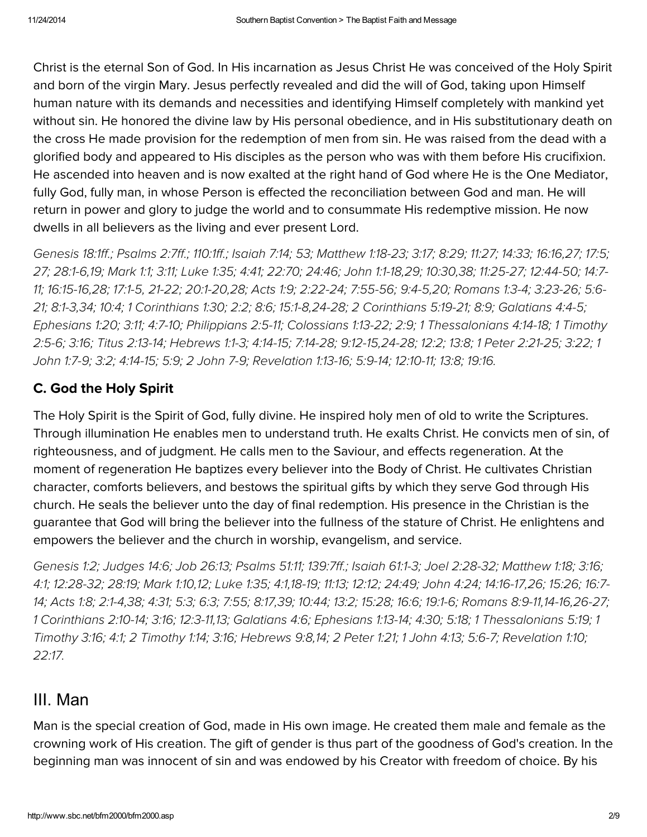Christ is the eternal Son of God. In His incarnation as Jesus Christ He was conceived of the Holy Spirit and born of the virgin Mary. Jesus perfectly revealed and did the will of God, taking upon Himself human nature with its demands and necessities and identifying Himself completely with mankind yet without sin. He honored the divine law by His personal obedience, and in His substitutionary death on the cross He made provision for the redemption of men from sin. He was raised from the dead with a glorified body and appeared to His disciples as the person who was with them before His crucifixion. He ascended into heaven and is now exalted at the right hand of God where He is the One Mediator, fully God, fully man, in whose Person is effected the reconciliation between God and man. He will return in power and glory to judge the world and to consummate His redemptive mission. He now dwells in all believers as the living and ever present Lord.

[Genesis](http://biblia.com/bible/hcsb/Genesis%2018.1ff) 18:1ff.; [Psalms](http://biblia.com/bible/hcsb/Psalms%202.7ff) 2:7ff.; [110:1ff.](http://biblia.com/bible/hcsb/Psalms%20110.1ff); [Isaiah](http://biblia.com/bible/hcsb/Isaiah%207.14) 7:14; [53;](http://biblia.com/bible/hcsb/Isaiah%207.53) [Matthew](http://biblia.com/bible/hcsb/Matthew%201.18-23) 1:18-23; [3:17;](http://biblia.com/bible/hcsb/Matthew%203.17) [8:29;](http://biblia.com/bible/hcsb/Matthew%208.29) [11:27](http://biblia.com/bible/hcsb/Matthew%2011.27); [14:33;](http://biblia.com/bible/hcsb/Matthew%2014.33) [16:16](http://biblia.com/bible/hcsb/Matthew%2016.16)[,27;](http://biblia.com/bible/hcsb/Matthew%2016.27) [17:5](http://biblia.com/bible/hcsb/Matthew%2017.5); [27;](http://biblia.com/bible/hcsb/Matthew%2017.27) [28:1-6](http://biblia.com/bible/hcsb/Matthew%2028.1-6)[,19;](http://biblia.com/bible/hcsb/Matthew%2028.19) [Mark](http://biblia.com/bible/hcsb/Mark%201.1) 1:1; [3:11;](http://biblia.com/bible/hcsb/Mark%203.11) [Luke](http://biblia.com/bible/hcsb/Luke%201.35) 1:35; [4:41;](http://biblia.com/bible/hcsb/Luke%204.41) [22:70](http://biblia.com/bible/hcsb/Luke%2022.70); [24:46;](http://biblia.com/bible/hcsb/Luke%2024.46) [John](http://biblia.com/bible/hcsb/John%201.1-18) 1:1-18[,29;](http://biblia.com/bible/hcsb/John%201.29) [10:30,](http://biblia.com/bible/hcsb/John%2010.30)[38;](http://biblia.com/bible/hcsb/John%2010.38) [11:25-27;](http://biblia.com/bible/hcsb/John%2011.25-27) [12:44-50;](http://biblia.com/bible/hcsb/John%2012.44-50) 14:7- 11; [16:15-16,](http://biblia.com/bible/hcsb/John%2016.15-16)[28;](http://biblia.com/bible/hcsb/John%2016.28) [17:1-5,](http://biblia.com/bible/hcsb/John%2017.1-5) [21-22;](http://biblia.com/bible/hcsb/John%2017.21-22) [20:1-20](http://biblia.com/bible/hcsb/John%2020.1-20)[,](http://biblia.com/bible/hcsb/John%2014.7-11)[28](http://biblia.com/bible/hcsb/John%2020.28)[;](http://biblia.com/bible/hcsb/John%2014.7-11) [Acts](http://biblia.com/bible/hcsb/Acts%201.9) 1:9; [2:22-24;](http://biblia.com/bible/hcsb/Acts%202.22-24) [7:55-56;](http://biblia.com/bible/hcsb/Acts%207.55-56) [9:4-5](http://biblia.com/bible/hcsb/Acts%209.4-5)[,20;](http://biblia.com/bible/hcsb/Acts%209.20) [Romans](http://biblia.com/bible/hcsb/Romans%201.3-4) 1:3-4; [3:23-26;](http://biblia.com/bible/hcsb/Romans%203.23-26) 5:6- 21; [8:1-3](http://biblia.com/bible/hcsb/Romans%208.1-3),[34;](http://biblia.com/bible/hcsb/Romans%208.34) [10:4;](http://biblia.com/bible/hcsb/Romans%2010.4) 1 [Corinthians](http://biblia.com/bible/hcsb/1%20Corinthians%201.30) 1:30; [2:2](http://biblia.com/bible/hcsb/1%20Corinthians%202.2); [8:6;](http://biblia.com/bible/hcsb/1%20Corinthians%208.6) [15:1-8](http://biblia.com/bible/hcsb/1%20Corinthians%2015.1-8)[,24-28;](http://biblia.com/bible/hcsb/Romans%205.6-21) 2 [Corinthians](http://biblia.com/bible/hcsb/2%20Corinthians%205.19-21) 5:19-21; [8:9;](http://biblia.com/bible/hcsb/2%20Corinthians%208.9) [Galatians](http://biblia.com/bible/hcsb/Galatians%204.4-5) 4:4-5; [Ephesians](http://biblia.com/bible/hcsb/Ephesians%201.20) 1:20; [3:11;](http://biblia.com/bible/hcsb/Ephesians%203.11) [4:7-10;](http://biblia.com/bible/hcsb/Ephesians%204.7-10) [Philippians](http://biblia.com/bible/hcsb/Philippians%202.5-11) 2:5-11; [Colossians](http://biblia.com/bible/hcsb/Colossians%201.13-22) 1:13-22; [2:9;](http://biblia.com/bible/hcsb/Colossians%202.9) 1 [Thessalonians](http://biblia.com/bible/hcsb/1%20Timothy%202.5-6) 4:14-18; 1 Timothy 2:5-6; [3:16;](http://biblia.com/bible/hcsb/1%20Timothy%203.16) Titus [2:13-14;](http://biblia.com/bible/hcsb/Titus%202.13-14) [Hebrews](http://biblia.com/bible/hcsb/Hebrews%201.1-3) 1:1-3; [4:14-15;](http://biblia.com/bible/hcsb/Hebrews%204.14-15) [7:14-28;](http://biblia.com/bible/hcsb/Hebrews%207.14-28) [9:12-15](http://biblia.com/bible/hcsb/Hebrews%209.12-15)[,24-28;](http://biblia.com/bible/hcsb/1%20John%201.7-9) [12:2;](http://biblia.com/bible/hcsb/Hebrews%2012.2) [13:8;](http://biblia.com/bible/hcsb/Hebrews%2013.8) 1 Peter [2:21-25;](http://biblia.com/bible/hcsb/1%20Peter%202.21-25) [3:22;](http://biblia.com/bible/hcsb/1%20Peter%203.22) 1 John 1:7-9; [3:2;](http://biblia.com/bible/hcsb/1%20John%203.2) [4:14-15](http://biblia.com/bible/hcsb/1%20John%204.14-15); [5:9;](http://biblia.com/bible/hcsb/1%20John%205.9) 2 John 7-9; [Revelation](http://biblia.com/bible/hcsb/Revelation%201.13-16) 1:13-16; [5:9-14;](http://biblia.com/bible/hcsb/Revelation%205.9-14) [12:10-11;](http://biblia.com/bible/hcsb/Revelation%2012.10-11) [13:8;](http://biblia.com/bible/hcsb/Revelation%2013.8) [19:16.](http://biblia.com/bible/hcsb/Revelation%2019.16)

#### C. God the Holy Spirit

The Holy Spirit is the Spirit of God, fully divine. He inspired holy men of old to write the Scriptures. Through illumination He enables men to understand truth. He exalts Christ. He convicts men of sin, of righteousness, and of judgment. He calls men to the Saviour, and effects regeneration. At the moment of regeneration He baptizes every believer into the Body of Christ. He cultivates Christian character, comforts believers, and bestows the spiritual gifts by which they serve God through His church. He seals the believer unto the day of final redemption. His presence in the Christian is the guarantee that God will bring the believer into the fullness of the stature of Christ. He enlightens and empowers the believer and the church in worship, evangelism, and service.

[Genesis](http://biblia.com/bible/hcsb/Genesis%201.2) 1:2; [Judges](http://biblia.com/bible/hcsb/Judges%2014.6) 14:6; Job [26:13;](http://biblia.com/bible/hcsb/Job%2026.13) [Psalms](http://biblia.com/bible/hcsb/Psalms%2051.11) 51:11; [139:7ff.](http://biblia.com/bible/hcsb/Psalms%20139.7ff); [Isaiah](http://biblia.com/bible/hcsb/Isaiah%2061.1-3) 61:1-3; Joel [2:28-32;](http://biblia.com/bible/hcsb/Joel%202.28-32) [Matthew](http://biblia.com/bible/hcsb/Matthew%201.18) 1:18; [3:16;](http://biblia.com/bible/hcsb/Matthew%203.16) [4:1;](http://biblia.com/bible/hcsb/Matthew%204.1) [12:28-32;](http://biblia.com/bible/hcsb/Matthew%2012.28-32) [28:19;](http://biblia.com/bible/hcsb/Matthew%2028.19) [Mark](http://biblia.com/bible/hcsb/Mark%201.10) 1:10[,12;](http://biblia.com/bible/hcsb/Mark%201.12) [Luke](http://biblia.com/bible/hcsb/Luke%201.35) 1:35; [4:1](http://biblia.com/bible/hcsb/Luke%204.1)[,18-19](http://biblia.com/bible/hcsb/Luke%204.18-19); [11:13;](http://biblia.com/bible/hcsb/Luke%2011.13) [12:12;](http://biblia.com/bible/hcsb/Luke%2012.12) [24:49;](http://biblia.com/bible/hcsb/Luke%2024.49) [John](http://biblia.com/bible/hcsb/John%204.24) 4:24; [14:16-17](http://biblia.com/bible/hcsb/John%2014.16-17)[,26;](http://biblia.com/bible/hcsb/John%2014.26) [15:26;](http://biblia.com/bible/hcsb/John%2015.26) 16:7- 14; [Acts](http://biblia.com/bible/hcsb/Acts%201.8) 1:8; [2:1-4](http://biblia.com/bible/hcsb/Acts%202.1-4)[,38;](http://biblia.com/bible/hcsb/Acts%202.38) [4:31;](http://biblia.com/bible/hcsb/Acts%204.31) [5:3;](http://biblia.com/bible/hcsb/Acts%205.3) [6:3;](http://biblia.com/bible/hcsb/Acts%206.3) [7:55;](http://biblia.com/bible/hcsb/Acts%207.55) [8:17](http://biblia.com/bible/hcsb/Acts%208.17)[,39](http://biblia.com/bible/hcsb/Acts%208.39); [10:44;](http://biblia.com/bible/hcsb/Acts%2010.44) [13:2;](http://biblia.com/bible/hcsb/Acts%2013.2) [15:28;](http://biblia.com/bible/hcsb/Acts%2015.28) [16:6](http://biblia.com/bible/hcsb/Acts%2016.6); [19:1-6;](http://biblia.com/bible/hcsb/Acts%2019.1-6) [Romans](http://biblia.com/bible/hcsb/Romans%208.9-11) [8:9-11,](http://biblia.com/bible/hcsb/John%2016.7-14)[14-16](http://biblia.com/bible/hcsb/Romans%208.14-16)[,](http://biblia.com/bible/hcsb/John%2016.7-14)[26-2](http://biblia.com/bible/hcsb/Romans%208.26-27)[7;](http://biblia.com/bible/hcsb/John%2016.7-14) 1 [Corinthians](http://biblia.com/bible/hcsb/1%20Corinthians%202.10-14) 2:10-14; [3:16;](http://biblia.com/bible/hcsb/1%20Corinthians%203.16) [12:3-11](http://biblia.com/bible/hcsb/1%20Corinthians%2012.3-11)[,13;](http://biblia.com/bible/hcsb/1%20Corinthians%2012.13) [Galatians](http://biblia.com/bible/hcsb/Galatians%204.6) 4:6; [Ephesians](http://biblia.com/bible/hcsb/Ephesians%201.13-14) 1:13-14; [4:30;](http://biblia.com/bible/hcsb/Ephesians%204.30) [5:18;](http://biblia.com/bible/hcsb/Ephesians%205.18) 1 [Thessalonians](http://biblia.com/bible/hcsb/1%20Timothy%203.16) 5:19; 1 Timothy 3:16; [4:1;](http://biblia.com/bible/hcsb/1%20Timothy%204.1) 2 [Timothy](http://biblia.com/bible/hcsb/2%20Timothy%201.14) 1:14; [3:16;](http://biblia.com/bible/hcsb/2%20Timothy%203.16) [Hebrews](http://biblia.com/bible/hcsb/Hebrews%209.8) 9:8[,14;](http://biblia.com/bible/hcsb/Hebrews%209.14) 2 [Peter](http://biblia.com/bible/hcsb/2%20Peter%201.21) 1:21; 1 [John](http://biblia.com/bible/hcsb/John%204.13) 4:13; [5:6-7;](http://biblia.com/bible/hcsb/John%205.6-7) [Revelation](http://biblia.com/bible/hcsb/Revelation%201.10) 1:10; [22:17.](http://biblia.com/bible/hcsb/Revelation%2022.17)

#### III. Man

Man is the special creation of God, made in His own image. He created them male and female as the crowning work of His creation. The gift of gender is thus part of the goodness of God's creation. In the beginning man was innocent of sin and was endowed by his Creator with freedom of choice. By his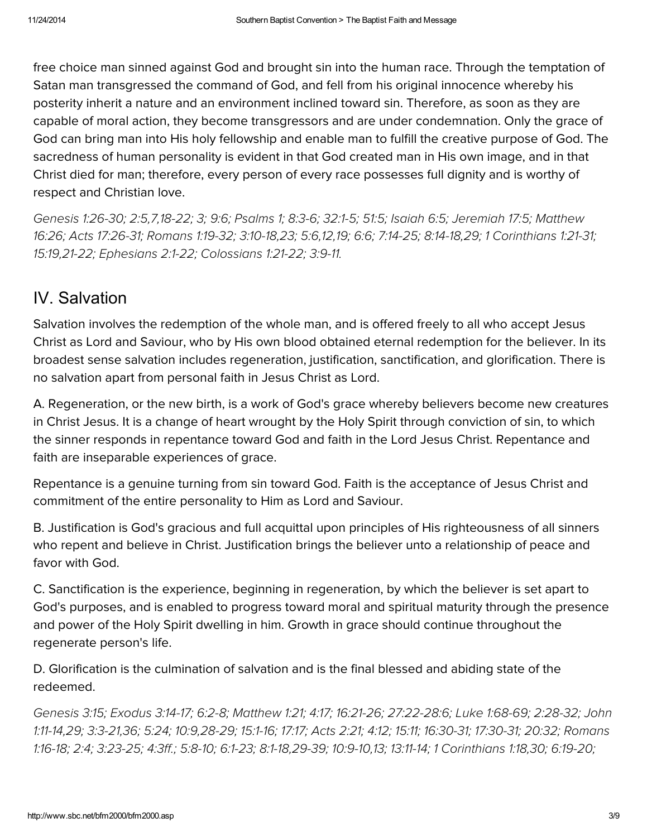free choice man sinned against God and brought sin into the human race. Through the temptation of Satan man transgressed the command of God, and fell from his original innocence whereby his posterity inherit a nature and an environment inclined toward sin. Therefore, as soon as they are capable of moral action, they become transgressors and are under condemnation. Only the grace of God can bring man into His holy fellowship and enable man to fulfill the creative purpose of God. The sacredness of human personality is evident in that God created man in His own image, and in that Christ died for man; therefore, every person of every race possesses full dignity and is worthy of respect and Christian love.

[Genesis](http://biblia.com/bible/hcsb/Genesis%201.26-30) 1:26-30; [2:5](http://biblia.com/bible/hcsb/Genesis%202.5)[,7,](http://biblia.com/bible/hcsb/Matthew%2016.26)[18-2](http://biblia.com/bible/hcsb/Genesis%202.18-22)[2;](http://biblia.com/bible/hcsb/Matthew%2016.26) [3;](http://biblia.com/bible/hcsb/Genesis%202.3) [9:6;](http://biblia.com/bible/hcsb/Genesis%209.6) Psalms 1; 8:3-6; 32:1-5; 51:5; [Isaiah](http://biblia.com/bible/hcsb/Isaiah%206.5) 6:5; [Jeremiah](http://biblia.com/bible/hcsb/Jeremiah%2017.5) 17:5; Matthew 16:26; Acts [17:26-31;](http://biblia.com/bible/hcsb/Acts%2017.26-31) [Romans](http://biblia.com/bible/hcsb/Romans%201.19-32) 1:19-32; [3:10-18,](http://biblia.com/bible/hcsb/Romans%203.10-18)[23;](http://biblia.com/bible/hcsb/Romans%203.23) [5:6,](http://biblia.com/bible/hcsb/Romans%205.6)[12,](http://biblia.com/bible/hcsb/Romans%205.12)[19;](http://biblia.com/bible/hcsb/Romans%205.19) [6:6;](http://biblia.com/bible/hcsb/Romans%206.6) [7:14-25;](http://biblia.com/bible/hcsb/Romans%207.14-25) [8:14-18,](http://biblia.com/bible/hcsb/Romans%208.14-18)[29;](http://biblia.com/bible/hcsb/Romans%208.29) 1 [Corinthians](http://biblia.com/bible/hcsb/1%20Corinthians%201.21-31) 1:21-31; [15:19](http://biblia.com/bible/hcsb/1%20Corinthians%2015.19),[21-22;](http://biblia.com/bible/hcsb/1%20Corinthians%2015.21-22) [Ephesians](http://biblia.com/bible/hcsb/Ephesians%202.1-22) 2:1-22; [Colossians](http://biblia.com/bible/hcsb/Colossians%201.21-22) 1:21-22; [3:9-11.](http://biblia.com/bible/hcsb/Colossians%203.9-11)

#### IV. Salvation

Salvation involves the redemption of the whole man, and is offered freely to all who accept Jesus Christ as Lord and Saviour, who by His own blood obtained eternal redemption for the believer. In its broadest sense salvation includes regeneration, justification, sanctification, and glorification. There is no salvation apart from personal faith in Jesus Christ as Lord.

A. Regeneration, or the new birth, is a work of God's grace whereby believers become new creatures in Christ Jesus. It is a change of heart wrought by the Holy Spirit through conviction of sin, to which the sinner responds in repentance toward God and faith in the Lord Jesus Christ. Repentance and faith are inseparable experiences of grace.

Repentance is a genuine turning from sin toward God. Faith is the acceptance of Jesus Christ and commitment of the entire personality to Him as Lord and Saviour.

B. Justification is God's gracious and full acquittal upon principles of His righteousness of all sinners who repent and believe in Christ. Justification brings the believer unto a relationship of peace and favor with God.

C. Sanctification is the experience, beginning in regeneration, by which the believer is set apart to God's purposes, and is enabled to progress toward moral and spiritual maturity through the presence and power of the Holy Spirit dwelling in him. Growth in grace should continue throughout the regenerate person's life.

D. Glorification is the culmination of salvation and is the final blessed and abiding state of the redeemed.

[Genesis](http://biblia.com/bible/hcsb/Genesis%203.15) 3:15; [Exodus](http://biblia.com/bible/hcsb/Exodus%203.14-17) 3:14-17; [6:2-8;](http://biblia.com/bible/hcsb/Exodus%206.2-8) [Matthew](http://biblia.com/bible/hcsb/Matthew%201.21) 1:21; [4:17;](http://biblia.com/bible/hcsb/Matthew%204.17) [16:21-26;](http://biblia.com/bible/hcsb/Matthew%2016.21-26) [27:22-28:6;](http://biblia.com/bible/hcsb/John%201.11-14) Luke [1:68-69;](http://biblia.com/bible/hcsb/Luke%201.68-69) [2:28-32;](http://biblia.com/bible/hcsb/Luke%202.28-32) John 1:11-14[,29;](http://biblia.com/bible/hcsb/John%201.29) [3:3-21](http://biblia.com/bible/hcsb/John%203.3-21)[,36;](http://biblia.com/bible/hcsb/John%203.36) [5:24;](http://biblia.com/bible/hcsb/John%205.24) [10:9](http://biblia.com/bible/hcsb/John%2010.9)[,28-29;](http://biblia.com/bible/hcsb/John%2010.28-29) [15:1-16;](http://biblia.com/bible/hcsb/John%2015.1-16) [17:17](http://biblia.com/bible/hcsb/John%2017.17); [Acts](http://biblia.com/bible/hcsb/Acts%202.21) 2:21; [4:12;](http://biblia.com/bible/hcsb/Acts%204.12) [15:11;](http://biblia.com/bible/hcsb/Acts%2015.11) [16:30-31;](http://biblia.com/bible/hcsb/Acts%2016.30-31) [17:30-31;](http://biblia.com/bible/hcsb/Acts%2017.30-31) [20:32;](http://biblia.com/bible/hcsb/Acts%2020.32) Romans 1:16-18; [2:4;](http://biblia.com/bible/hcsb/Romans%202.4) [3:23-25;](http://biblia.com/bible/hcsb/Romans%203.23-25) [4:3ff.](http://biblia.com/bible/hcsb/Romans%204.3ff); [5:8-10;](http://biblia.com/bible/hcsb/Romans%205.8-10) [6:1-23](http://biblia.com/bible/hcsb/Romans%206.1-23); [8:1-18](http://biblia.com/bible/hcsb/Romans%208.1-18)[,](http://biblia.com/bible/hcsb/Romans%201.16-18)[29-39](http://biblia.com/bible/hcsb/Romans%208.29-39)[;](http://biblia.com/bible/hcsb/Romans%201.16-18) [10:9-10](http://biblia.com/bible/hcsb/Romans%2010.9-10)[,13;](http://biblia.com/bible/hcsb/Romans%2010.13) [13:11-14;](http://biblia.com/bible/hcsb/Romans%2013.11-14) 1 [Corinthians](http://biblia.com/bible/hcsb/1%20Corinthians%201.18) 1:18[,30;](http://biblia.com/bible/hcsb/1%20Corinthians%201.30) [6:19-20;](http://biblia.com/bible/hcsb/1%20Corinthians%206.19-20)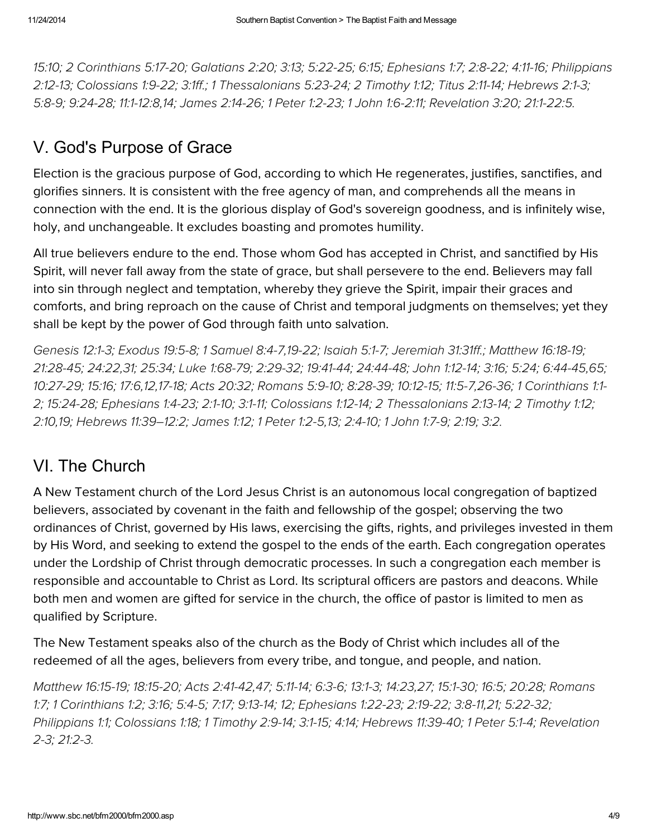[15:10;](http://biblia.com/bible/hcsb/1%20Corinthians%2015.10) 2 [Corinthians](http://biblia.com/bible/hcsb/2%20Corinthians%205.17-20) 5:17-20; [Galatians](http://biblia.com/bible/hcsb/Galatians%202.20) 2:20; [3:13;](http://biblia.com/bible/hcsb/Galatians%203.13) [5:22-25](http://biblia.com/bible/hcsb/Galatians%205.22-25); [6:15;](http://biblia.com/bible/hcsb/Galatians%206.15) [Ephesians](http://biblia.com/bible/hcsb/Ephesians%201.7) 1:7; [2:8-22;](http://biblia.com/bible/hcsb/Ephesians%202.8-22) [4:11-16;](http://biblia.com/bible/hcsb/Ephesians%204.11-16) Philippians 2:12-13; [Colossians](http://biblia.com/bible/hcsb/Colossians%201.9-22) 1:9-22; [3:1ff](http://biblia.com/bible/hcsb/Colossians%203.1ff).; 1 [Thessalonians](http://biblia.com/bible/hcsb/Philippians%202.12-13) 5:23-24; 2 [Timothy](http://biblia.com/bible/hcsb/2%20Timothy%201.12) 1:12; Titus [2:11-14;](http://biblia.com/bible/hcsb/Titus%202.11-14) [Hebrews](http://biblia.com/bible/hcsb/Hebrews%202.1-3) 2:1-3; [5:8-9](http://biblia.com/bible/hcsb/Hebrews%205.8-9); [9:24-28;](http://biblia.com/bible/hcsb/Hebrews%209.24-28) [11:1-12:8](http://biblia.com/bible/hcsb/Hebrews%2011.1-12.8)[,14;](http://biblia.com/bible/hcsb/Hebrews%2011.14) James [2:14-26;](http://biblia.com/bible/hcsb/James%202.14-26) 1 Peter [1:2-23;](http://biblia.com/bible/hcsb/1%20Peter%201.2-23) 1 John [1:6-2:11;](http://biblia.com/bible/hcsb/1%20John%201.6-2.11) [Revelation](http://biblia.com/bible/hcsb/Revelation%203.20) 3:20; [21:1-22:5.](http://biblia.com/bible/hcsb/Revelation%2021.1-22.5)

# V. God's Purpose of Grace

Election is the gracious purpose of God, according to which He regenerates, justifies, sanctifies, and glorifies sinners. It is consistent with the free agency of man, and comprehends all the means in connection with the end. It is the glorious display of God's sovereign goodness, and is infinitely wise, holy, and unchangeable. It excludes boasting and promotes humility.

All true believers endure to the end. Those whom God has accepted in Christ, and sanctified by His Spirit, will never fall away from the state of grace, but shall persevere to the end. Believers may fall into sin through neglect and temptation, whereby they grieve the Spirit, impair their graces and comforts, and bring reproach on the cause of Christ and temporal judgments on themselves; yet they shall be kept by the power of God through faith unto salvation.

[Genesis](http://biblia.com/bible/hcsb/Genesis%2012.1-3) 12:1-3; [Exodus](http://biblia.com/bible/hcsb/Exodus%2019.5-8) 19:5-8; 1 [Samuel](http://biblia.com/bible/hcsb/1%20Samuel%208.4-7) 8:4-7,[19-22](http://biblia.com/bible/hcsb/1%20Samuel%208.19-22); [Isaiah](http://biblia.com/bible/hcsb/Isaiah%205.1-7) 5:1-7; [Jeremiah](http://biblia.com/bible/hcsb/Jeremiah%2031.31ff) 31:31ff.; [Matthew](http://biblia.com/bible/hcsb/Matthew%2016.18-19) 16:18-19; [21:28-45;](http://biblia.com/bible/hcsb/Matthew%2021.28-45) [24:22,](http://biblia.com/bible/hcsb/Matthew%2024.22)[31;](http://biblia.com/bible/hcsb/Matthew%2024.31) [25:34](http://biblia.com/bible/hcsb/Matthew%2025.34); Luke [1:68-79](http://biblia.com/bible/hcsb/Luke%201.68-79); [2:29-32;](http://biblia.com/bible/hcsb/Luke%202.29-32) [19:41-44;](http://biblia.com/bible/hcsb/Luke%2019.41-44) [24:44-48](http://biblia.com/bible/hcsb/Luke%2024.44-48); John [1:12-14;](http://biblia.com/bible/hcsb/John%201.12-14) [3:16;](http://biblia.com/bible/hcsb/John%203.16) [5:24;](http://biblia.com/bible/hcsb/John%205.24) [6:44-45,](http://biblia.com/bible/hcsb/John%206.44-45)[65;](http://biblia.com/bible/hcsb/John%206.65) [10:27-29;](http://biblia.com/bible/hcsb/John%2010.27-29) [15:16](http://biblia.com/bible/hcsb/John%2015.16); [17:6,](http://biblia.com/bible/hcsb/John%2017.6)[12](http://biblia.com/bible/hcsb/John%2017.12)[,17-18;](http://biblia.com/bible/hcsb/John%2017.17-18) Acts [20:32;](http://biblia.com/bible/hcsb/Acts%2020.32) [Romans](http://biblia.com/bible/hcsb/Romans%205.9-10) 5:9-10; [8:28-39;](http://biblia.com/bible/hcsb/Romans%208.28-39) [10:12-15;](http://biblia.com/bible/hcsb/Romans%2010.12-15) [11:5-7](http://biblia.com/bible/hcsb/Romans%2011.5-7),[26-36;](http://biblia.com/bible/hcsb/Romans%2011.26-36) 1 Corinthians 1:1- 2; [15:24-28;](http://biblia.com/bible/hcsb/1%20Corinthians%2015.24-28) [Ephesians](http://biblia.com/bible/hcsb/Ephesians%201.4-23) 1:4-23; [2:1-10;](http://biblia.com/bible/hcsb/Ephesians%202.1-10) [3:1-11;](http://biblia.com/bible/hcsb/Ephesians%203.1-11) [Colossians](http://biblia.com/bible/hcsb/Colossians%201.12-14) 1:12-14; 2 [Thessalonians](http://biblia.com/bible/hcsb/2%20Thessalonians%202.13-14) 2:13-14; 2 [Timothy](http://biblia.com/bible/hcsb/2%20Timothy%201.12) 1:12; [2:10,](http://biblia.com/bible/hcsb/2%20Timothy%202.10)[19;](http://biblia.com/bible/hcsb/2%20Timothy%202.19) Hebrews [11:39–12:2;](http://biblia.com/bible/hcsb/Hebrews%2011.39%E2%80%9312.2) [James](http://biblia.com/bible/hcsb/James%201.12) 1:12; 1 [Peter](http://biblia.com/bible/hcsb/1%20Peter%201.2-5) 1:2-5[,13;](http://biblia.com/bible/hcsb/1%20Peter%201.13) [2:4-10](http://biblia.com/bible/hcsb/1%20Peter%202.4-10); 1 [John](http://biblia.com/bible/hcsb/1%20John%201.7-9) 1:7-9; [2:19;](http://biblia.com/bible/hcsb/1%20John%202.19) [3:2](http://biblia.com/bible/hcsb/1%20John%203.2).

# VI. The Church

A New Testament church of the Lord Jesus Christ is an autonomous local congregation of baptized believers, associated by covenant in the faith and fellowship of the gospel; observing the two ordinances of Christ, governed by His laws, exercising the gifts, rights, and privileges invested in them by His Word, and seeking to extend the gospel to the ends of the earth. Each congregation operates under the Lordship of Christ through democratic processes. In such a congregation each member is responsible and accountable to Christ as Lord. Its scriptural officers are pastors and deacons. While both men and women are gifted for service in the church, the office of pastor is limited to men as qualified by Scripture.

The New Testament speaks also of the church as the Body of Christ which includes all of the redeemed of all the ages, believers from every tribe, and tongue, and people, and nation.

[Matthew](http://biblia.com/bible/hcsb/Matthew%2016.15-19) 16:15-19; [18:15-20;](http://biblia.com/bible/hcsb/Matthew%2018.15-20) Acts [2:41-42](http://biblia.com/bible/hcsb/Acts%202.41-42)[,47;](http://biblia.com/bible/hcsb/Acts%202.47) [5:11-14;](http://biblia.com/bible/hcsb/Acts%205.11-14) [6:3-6;](http://biblia.com/bible/hcsb/Acts%206.3-6) [13:1-3;](http://biblia.com/bible/hcsb/Acts%2013.1-3) [14:23,](http://biblia.com/bible/hcsb/Acts%2014.23)[27;](http://biblia.com/bible/hcsb/Acts%2014.27) [15:1-30;](http://biblia.com/bible/hcsb/Acts%2015.1-30) [16:5;](http://biblia.com/bible/hcsb/Acts%2016.5) [20:28](http://biblia.com/bible/hcsb/Acts%2020.28); Romans 1:7; 1 [Corinthians](http://biblia.com/bible/hcsb/Romans%201.7) 1:2; [3:16;](http://biblia.com/bible/hcsb/1%20Corinthians%203.16) [5:4-5;](http://biblia.com/bible/hcsb/1%20Corinthians%205.4-5) [7:17;](http://biblia.com/bible/hcsb/1%20Corinthians%207.17) [9:13-14](http://biblia.com/bible/hcsb/1%20Corinthians%209.13-14); [12](http://biblia.com/bible/hcsb/1%20Corinthians%209.12); [Ephesians](http://biblia.com/bible/hcsb/Ephesians%201.22-23) 1:22-23; [2:19-22;](http://biblia.com/bible/hcsb/Ephesians%202.19-22) [3:8-11,](http://biblia.com/bible/hcsb/Ephesians%203.8-11)[21;](http://biblia.com/bible/hcsb/Ephesians%203.21) [5:22-32;](http://biblia.com/bible/hcsb/Ephesians%205.22-32) [Philippians](http://biblia.com/bible/hcsb/Philippians%201.1) 1:1; [Colossians](http://biblia.com/bible/hcsb/Colossians%201.18) 1:18; 1 [Timothy](http://biblia.com/bible/hcsb/1%20Timothy%202.9-14) 2:9-14; [3:1-15;](http://biblia.com/bible/hcsb/1%20Timothy%203.1-15) [4:14](http://biblia.com/bible/hcsb/1%20Timothy%204.14); [Hebrews](http://biblia.com/bible/hcsb/Hebrews%2011.39-40) 11:39-40; 1 [Peter](http://biblia.com/bible/hcsb/1%20Peter%205.1-4) 5:1-4; Revelation 2-3; [21:2-3.](http://biblia.com/bible/hcsb/Revelation%2021.2-3)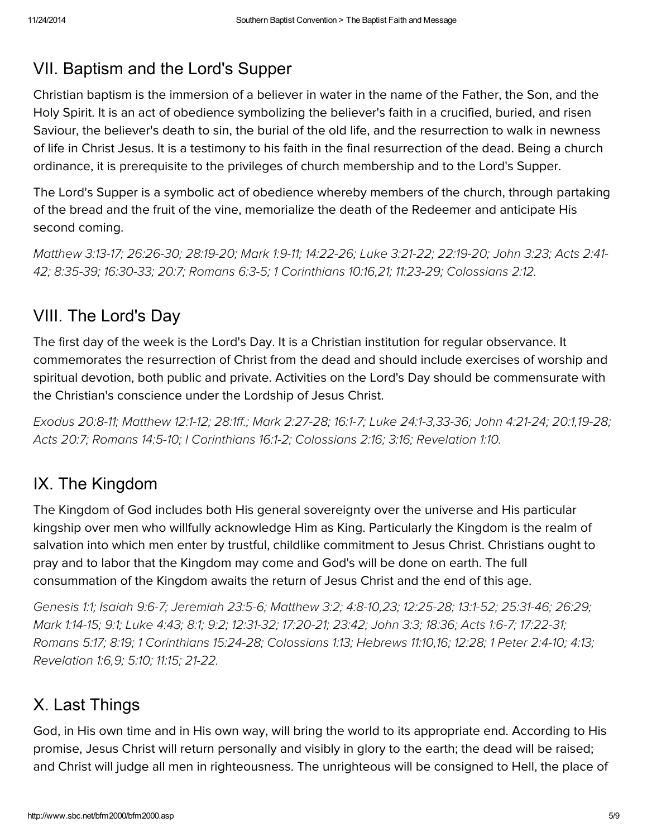# VII. Baptism and the Lord's Supper

Christian baptism is the immersion of a believer in water in the name of the Father, the Son, and the Holy Spirit. It is an act of obedience symbolizing the believer's faith in a crucified, buried, and risen Saviour, the believer's death to sin, the burial of the old life, and the resurrection to walk in newness of life in Christ Jesus. It is a testimony to his faith in the final resurrection of the dead. Being a church ordinance, it is prerequisite to the privileges of church membership and to the Lord's Supper.

The Lord's Supper is a symbolic act of obedience whereby members of the church, through partaking of the bread and the fruit of the vine, memorialize the death of the Redeemer and anticipate His second coming.

[Matthew](http://biblia.com/bible/hcsb/Matthew%203.13-17) 3:13-17; [26:26-30;](http://biblia.com/bible/hcsb/Matthew%2026.26-30) [28:19-20;](http://biblia.com/bible/hcsb/Matthew%2028.19-20) [Mark](http://biblia.com/bible/hcsb/Mark%201.9-11) 1:9-11; [14:22-26;](http://biblia.com/bible/hcsb/Mark%2014.22-26) Luke [3:21-22;](http://biblia.com/bible/hcsb/Luke%203.21-22) [22:19-20](http://biblia.com/bible/hcsb/Luke%2022.19-20); [John](http://biblia.com/bible/hcsb/John%203.23) 3:23; Acts 2:41- 42; [8:35-39;](http://biblia.com/bible/hcsb/Acts%208.35-39) [16:30-33](http://biblia.com/bible/hcsb/Acts%2016.30-33); [20:7;](http://biblia.com/bible/hcsb/Acts%2020.7) [Romans](http://biblia.com/bible/hcsb/Romans%206.3-5) 6:3-5; 1 [Corinthians](http://biblia.com/bible/hcsb/1%20Corinthians%2010.16) 10:16[,21;](http://biblia.com/bible/hcsb/1%20Corinthians%2010.21) [11:23-29](http://biblia.com/bible/hcsb/1%20Corinthians%2011.23-29); [Colossians](http://biblia.com/bible/hcsb/Colossians%202.12) 2:12.

# VIII. The Lord's Day

The first day of the week is the Lord's Day. It is a Christian institution for regular observance. It commemorates the resurrection of Christ from the dead and should include exercises of worship and spiritual devotion, both public and private. Activities on the Lord's Day should be commensurate with the Christian's conscience under the Lordship of Jesus Christ.

[Exodus](http://biblia.com/bible/hcsb/Exodus%2020.8-11) 20:8-11; [Matthew](http://biblia.com/bible/hcsb/Matthew%2012.1-12) 12:1-12; [28:1ff.](http://biblia.com/bible/hcsb/Matthew%2028.1ff); Mark [2:27-28;](http://biblia.com/bible/hcsb/Mark%202.27-28) [16:1-7;](http://biblia.com/bible/hcsb/Mark%2016.1-7) Luke [24:1-3](http://biblia.com/bible/hcsb/Luke%2024.1-3),[33-36;](http://biblia.com/bible/hcsb/Luke%2024.33-36) John [4:21-24;](http://biblia.com/bible/hcsb/John%204.21-24) [20:1,](http://biblia.com/bible/hcsb/John%2020.1)[19-28;](http://biblia.com/bible/hcsb/John%2020.19-28) Acts [20:7;](http://biblia.com/bible/hcsb/Acts%2020.7) [Romans](http://biblia.com/bible/hcsb/Romans%2014.5-10) 14:5-10; I [Corinthians](http://biblia.com/bible/hcsb/I%20Corinthians%2016.1-2) 16:1-2; [Colossians](http://biblia.com/bible/hcsb/Colossians%202.16) 2:16; [3:16;](http://biblia.com/bible/hcsb/Colossians%203.16) [Revelation](http://biblia.com/bible/hcsb/Revelation%201.10) 1:10.

# IX. The Kingdom

The Kingdom of God includes both His general sovereignty over the universe and His particular kingship over men who willfully acknowledge Him as King. Particularly the Kingdom is the realm of salvation into which men enter by trustful, childlike commitment to Jesus Christ. Christians ought to pray and to labor that the Kingdom may come and God's will be done on earth. The full consummation of the Kingdom awaits the return of Jesus Christ and the end of this age.

[Genesis](http://biblia.com/bible/hcsb/Genesis%201.1) 1:1; [Isaiah](http://biblia.com/bible/hcsb/Isaiah%209.6-7) 9:6-7; [Jeremiah](http://biblia.com/bible/hcsb/Jeremiah%2023.5-6) 23:5-6; [Matthew](http://biblia.com/bible/hcsb/Matthew%203.2) 3:2; [4:8-10,](http://biblia.com/bible/hcsb/Matthew%204.8-10)[23;](http://biblia.com/bible/hcsb/Matthew%204.23) [12:25-28;](http://biblia.com/bible/hcsb/Matthew%2012.25-28) [13:1-52;](http://biblia.com/bible/hcsb/Matthew%2013.1-52) [25:31-46;](http://biblia.com/bible/hcsb/Matthew%2025.31-46) [26:29](http://biblia.com/bible/hcsb/Matthew%2026.29); Mark [1:14-15;](http://biblia.com/bible/hcsb/Mark%201.14-15) [9:1;](http://biblia.com/bible/hcsb/Mark%209.1) [Luke](http://biblia.com/bible/hcsb/Luke%204.43) 4:43; [8:1;](http://biblia.com/bible/hcsb/Luke%208.1) [9:2;](http://biblia.com/bible/hcsb/Luke%209.2) [12:31-32;](http://biblia.com/bible/hcsb/Luke%2012.31-32) [17:20-21;](http://biblia.com/bible/hcsb/Luke%2017.20-21) [23:42](http://biblia.com/bible/hcsb/Luke%2023.42); [John](http://biblia.com/bible/hcsb/John%203.3) 3:3; [18:36;](http://biblia.com/bible/hcsb/John%2018.36) Acts [1:6-7;](http://biblia.com/bible/hcsb/Acts%201.6-7) [17:22-31;](http://biblia.com/bible/hcsb/Acts%2017.22-31) [Romans](http://biblia.com/bible/hcsb/Romans%205.17) 5:17; [8:19;](http://biblia.com/bible/hcsb/Romans%208.19) 1 [Corinthians](http://biblia.com/bible/hcsb/1%20Corinthians%2015.24-28) 15:24-28; [Colossians](http://biblia.com/bible/hcsb/Colossians%201.13) 1:13; [Hebrews](http://biblia.com/bible/hcsb/Hebrews%2011.10) 11:10[,16;](http://biblia.com/bible/hcsb/Hebrews%2011.16) [12:28](http://biblia.com/bible/hcsb/Hebrews%2012.28); 1 Peter [2:4-10](http://biblia.com/bible/hcsb/1%20Peter%202.4-10); [4:13;](http://biblia.com/bible/hcsb/1%20Peter%204.13) [Revelation](http://biblia.com/bible/hcsb/Revelation%201.6) 1:6[,9;](http://biblia.com/bible/hcsb/Revelation%201.9) [5:10;](http://biblia.com/bible/hcsb/Revelation%205.10) [11:15](http://biblia.com/bible/hcsb/Revelation%2011.15); [21-22.](http://biblia.com/bible/hcsb/Revelation%2011.21-22)

# X. Last Things

God, in His own time and in His own way, will bring the world to its appropriate end. According to His promise, Jesus Christ will return personally and visibly in glory to the earth; the dead will be raised; and Christ will judge all men in righteousness. The unrighteous will be consigned to Hell, the place of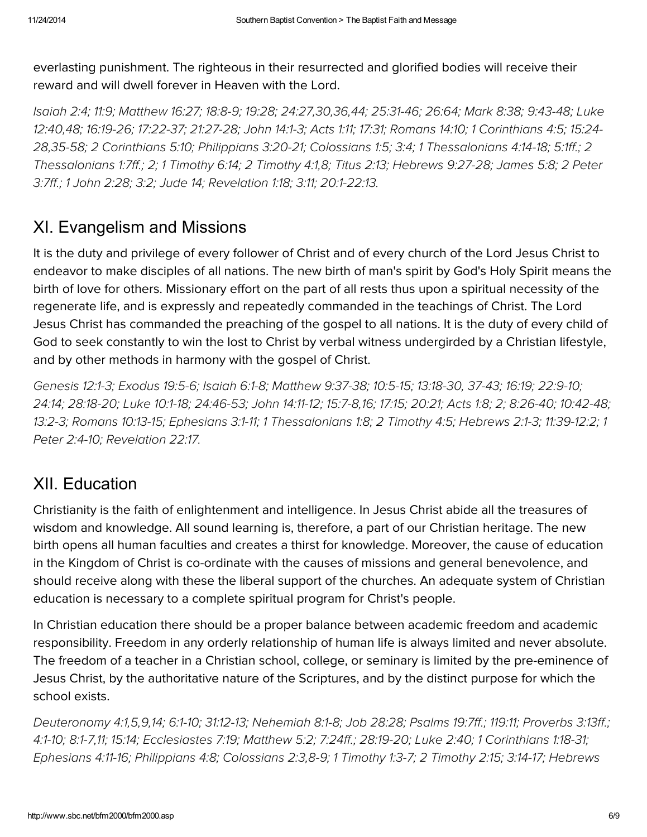everlasting punishment. The righteous in their resurrected and glorified bodies will receive their reward and will dwell forever in Heaven with the Lord.

[Isaiah](http://biblia.com/bible/hcsb/Isaiah%202.4) 2:4; [11:9;](http://biblia.com/bible/hcsb/Isaiah%2011.9) [Matthew](http://biblia.com/bible/hcsb/Matthew%2016.27) 16:27; [18:8-9;](http://biblia.com/bible/hcsb/Matthew%2018.8-9) [19:28;](http://biblia.com/bible/hcsb/Matthew%2019.28) [24:27,](http://biblia.com/bible/hcsb/Luke%2012.40)[30](http://biblia.com/bible/hcsb/Matthew%2024.30)[,36,44;](http://biblia.com/bible/hcsb/Luke%2012.40) [25:31-46;](http://biblia.com/bible/hcsb/Matthew%2025.31-46) [26:64;](http://biblia.com/bible/hcsb/Matthew%2026.64) [Mark](http://biblia.com/bible/hcsb/Mark%208.38) 8:38; [9:43-48;](http://biblia.com/bible/hcsb/Mark%209.43-48) Luke 12:40,[48;](http://biblia.com/bible/hcsb/Luke%2012.48) [16:19-26;](http://biblia.com/bible/hcsb/Luke%2016.19-26) [17:22-37;](http://biblia.com/bible/hcsb/Luke%2017.22-37) [21:27-28;](http://biblia.com/bible/hcsb/Luke%2021.27-28) John [14:1-3](http://biblia.com/bible/hcsb/John%2014.1-3); [Acts](http://biblia.com/bible/hcsb/Acts%201.11) 1:11; [17:31;](http://biblia.com/bible/hcsb/Acts%2017.31) [Romans](http://biblia.com/bible/hcsb/Romans%2014.10) 14:10; 1 [Corinthians](http://biblia.com/bible/hcsb/1%20Corinthians%204.5) 4:5; 15:24- 28[,35-58](http://biblia.com/bible/hcsb/1%20Corinthians%2015.35-58); 2 [Corinthians](http://biblia.com/bible/hcsb/2%20Corinthians%205.10) 5:10; [Philippians](http://biblia.com/bible/hcsb/Philippians%203.20-21) 3:20-21; [Colossians](http://biblia.com/bible/hcsb/Colossians%201.5) 1:5; [3:4;](http://biblia.com/bible/hcsb/Colossians%203.4) 1 [Thessalonians](http://biblia.com/bible/hcsb/2%20Thessalonians%201.7ff) 4:14-18; [5:1ff.](http://biblia.com/bible/hcsb/1%20Thessalonians%205.1ff); 2 [Thessalonians](http://biblia.com/bible/hcsb/2%20Peter%203.7ff) 1:7ff.; [2;](http://biblia.com/bible/hcsb/2%20Thessalonians%201.2) 1 [Timothy](http://biblia.com/bible/hcsb/1%20Timothy%206.14) 6:14; 2 [Timothy](http://biblia.com/bible/hcsb/2%20Timothy%204.1) 4:1[,8;](http://biblia.com/bible/hcsb/2%20Timothy%204.8) [Titus](http://biblia.com/bible/hcsb/Titus%202.13) 2:13; [Hebrews](http://biblia.com/bible/hcsb/Hebrews%209.27-28) 9:27-28; [James](http://biblia.com/bible/hcsb/James%205.8) 5:8; 2 Peter 3:7ff.; 1 [John](http://biblia.com/bible/hcsb/1%20John%202.28) 2:28; [3:2;](http://biblia.com/bible/hcsb/1%20John%203.2) Jude 14; [Revelation](http://biblia.com/bible/hcsb/Revelation%201.18) 1:18; [3:11;](http://biblia.com/bible/hcsb/Revelation%203.11) [20:1-22:13.](http://biblia.com/bible/hcsb/Revelation%2020.1-22.13)

# XI. Evangelism and Missions

It is the duty and privilege of every follower of Christ and of every church of the Lord Jesus Christ to endeavor to make disciples of all nations. The new birth of man's spirit by God's Holy Spirit means the birth of love for others. Missionary effort on the part of all rests thus upon a spiritual necessity of the regenerate life, and is expressly and repeatedly commanded in the teachings of Christ. The Lord Jesus Christ has commanded the preaching of the gospel to all nations. It is the duty of every child of God to seek constantly to win the lost to Christ by verbal witness undergirded by a Christian lifestyle, and by other methods in harmony with the gospel of Christ.

[Genesis](http://biblia.com/bible/hcsb/Genesis%2012.1-3) 12:1-3; [Exodus](http://biblia.com/bible/hcsb/Exodus%2019.5-6) 19:5-6; [Isaiah](http://biblia.com/bible/hcsb/Isaiah%206.1-8) 6:1-8; [Matthew](http://biblia.com/bible/hcsb/Matthew%209.37-38) 9:37-38; [10:5-15](http://biblia.com/bible/hcsb/Matthew%2010.5-15); [13:18-30](http://biblia.com/bible/hcsb/Matthew%2013.18-30), [37-43;](http://biblia.com/bible/hcsb/Matthew%2013.37-43) [16:19;](http://biblia.com/bible/hcsb/Matthew%2016.19) [22:9-10;](http://biblia.com/bible/hcsb/Matthew%2022.9-10) [24:14;](http://biblia.com/bible/hcsb/Matthew%2024.14) [28:18-20;](http://biblia.com/bible/hcsb/Matthew%2028.18-20) Luke [10:1-18;](http://biblia.com/bible/hcsb/Luke%2010.1-18) [24:46-53;](http://biblia.com/bible/hcsb/Luke%2024.46-53) John [14:11-12;](http://biblia.com/bible/hcsb/John%2014.11-12) [15:7-8,](http://biblia.com/bible/hcsb/John%2015.7-8)[16;](http://biblia.com/bible/hcsb/John%2015.16) [17:15;](http://biblia.com/bible/hcsb/John%2017.15) [20:21;](http://biblia.com/bible/hcsb/John%2020.21) [Acts](http://biblia.com/bible/hcsb/Acts%201.8) 1:8; [2;](http://biblia.com/bible/hcsb/Acts%201.2) [8:26-40;](http://biblia.com/bible/hcsb/Acts%208.26-40) [10:42-48;](http://biblia.com/bible/hcsb/Acts%2010.42-48) [13:2-3;](http://biblia.com/bible/hcsb/Acts%2013.2-3) [Romans](http://biblia.com/bible/hcsb/Romans%2010.13-15) 10:13-15; [Ephesians](http://biblia.com/bible/hcsb/Ephesians%203.1-11) 3:1-11; 1 [Thessalonians](http://biblia.com/bible/hcsb/1%20Thessalonians%201.8) 1:8; 2 [Timothy](http://biblia.com/bible/hcsb/2%20Timothy%204.5) 4:5; [Hebrews](http://biblia.com/bible/hcsb/Hebrews%202.1-3) 2:1-3; [11:39-12:2;](http://biblia.com/bible/hcsb/Hebrews%2011.39-12.2) 1 Peter 2:4-10; [Revelation](http://biblia.com/bible/hcsb/Revelation%2022.17) 22:17.

## XII. Education

Christianity is the faith of enlightenment and intelligence. In Jesus Christ abide all the treasures of wisdom and knowledge. All sound learning is, therefore, a part of our Christian heritage. The new birth opens all human faculties and creates a thirst for knowledge. Moreover, the cause of education in the Kingdom of Christ is co-ordinate with the causes of missions and general benevolence, and should receive along with these the liberal support of the churches. An adequate system of Christian education is necessary to a complete spiritual program for Christ's people.

In Christian education there should be a proper balance between academic freedom and academic responsibility. Freedom in any orderly relationship of human life is always limited and never absolute. The freedom of a teacher in a Christian school, college, or seminary is limited by the pre-eminence of Jesus Christ, by the authoritative nature of the Scriptures, and by the distinct purpose for which the school exists.

[Deuteronomy](http://biblia.com/bible/hcsb/Deuteronomy%204.1) 4:1[,5,](http://biblia.com/bible/hcsb/Deuteronomy%204.5)[9,](http://biblia.com/bible/hcsb/Deuteronomy%204.9)[14;](http://biblia.com/bible/hcsb/Deuteronomy%204.14) [6:1-10](http://biblia.com/bible/hcsb/Deuteronomy%206.1-10); [31:12-13;](http://biblia.com/bible/hcsb/Deuteronomy%2031.12-13) [Nehemiah](http://biblia.com/bible/hcsb/Nehemiah%208.1-8) 8:1-8; Job [28:28](http://biblia.com/bible/hcsb/Job%2028.28); [Psalms](http://biblia.com/bible/hcsb/Psalms%2019.7ff) 19:7ff.; [119:11;](http://biblia.com/bible/hcsb/Psalms%20119.11) [Proverbs](http://biblia.com/bible/hcsb/Proverbs%203.13ff) 3:13ff.; [4:1-10;](http://biblia.com/bible/hcsb/Proverbs%204.1-10) [8:1-7](http://biblia.com/bible/hcsb/Proverbs%208.1-7)[,11](http://biblia.com/bible/hcsb/Proverbs%208.11); [15:14;](http://biblia.com/bible/hcsb/Proverbs%2015.14) [Ecclesiastes](http://biblia.com/bible/hcsb/Ecclesiastes%207.19) 7:19; [Matthew](http://biblia.com/bible/hcsb/Matthew%205.2) 5:2; [7:24ff.](http://biblia.com/bible/hcsb/Matthew%207.24ff); [28:19-20;](http://biblia.com/bible/hcsb/Matthew%2028.19-20) [Luke](http://biblia.com/bible/hcsb/Luke%202.40) 2:40; 1 [Corinthians](http://biblia.com/bible/hcsb/1%20Corinthians%201.18-31) 1:18-31; [Ephesians](http://biblia.com/bible/hcsb/Ephesians%204.11-16) 4:11-16; [Philippians](http://biblia.com/bible/hcsb/Philippians%204.8) 4:8; [Colossians](http://biblia.com/bible/hcsb/Hebrews%205.12-6.3) 2:3[,8-9;](http://biblia.com/bible/hcsb/Colossians%202.8-9) 1 [Timothy](http://biblia.com/bible/hcsb/1%20Timothy%201.3-7) 1:3-7; 2 [Timothy](http://biblia.com/bible/hcsb/2%20Timothy%202.15) 2:15; [3:14-17;](http://biblia.com/bible/hcsb/2%20Timothy%203.14-17) Hebrews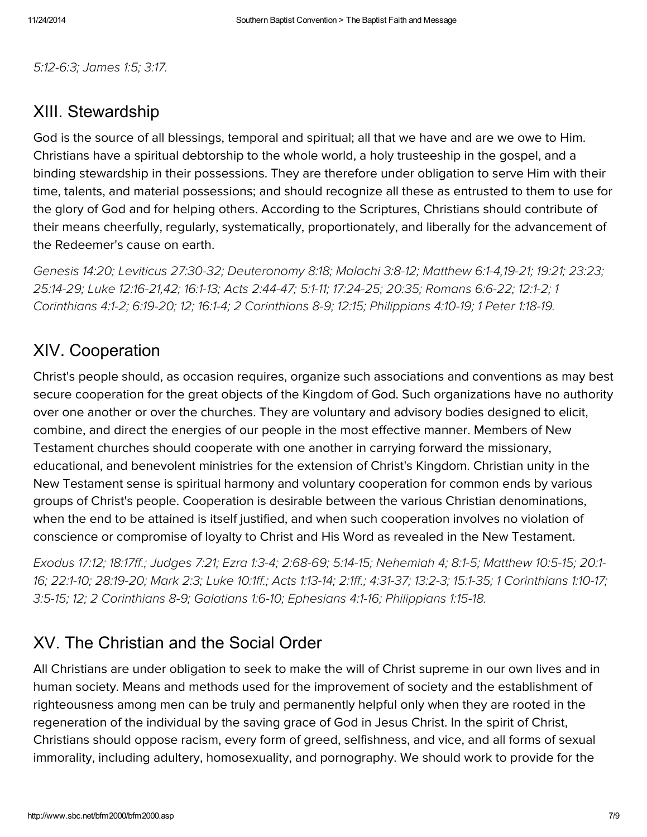[5:12-6:3;](http://biblia.com/bible/hcsb/Hebrews%205.12-6.3) [James](http://biblia.com/bible/hcsb/James%201.5) 1:5; [3:17.](http://biblia.com/bible/hcsb/James%203.17)

#### XIII. Stewardship

God is the source of all blessings, temporal and spiritual; all that we have and are we owe to Him. Christians have a spiritual debtorship to the whole world, a holy trusteeship in the gospel, and a binding stewardship in their possessions. They are therefore under obligation to serve Him with their time, talents, and material possessions; and should recognize all these as entrusted to them to use for the glory of God and for helping others. According to the Scriptures, Christians should contribute of their means cheerfully, regularly, systematically, proportionately, and liberally for the advancement of the Redeemer's cause on earth.

[Genesis](http://biblia.com/bible/hcsb/Genesis%2014.20) 14:20; Leviticus [27:30-32](http://biblia.com/bible/hcsb/Leviticus%2027.30-32); [Deuteronomy](http://biblia.com/bible/hcsb/Deuteronomy%208.18) 8:18; [Malachi](http://biblia.com/bible/hcsb/Malachi%203.8-12) 3:8-12; [Matthew](http://biblia.com/bible/hcsb/Matthew%206.1-4) 6:1-4[,19-21](http://biblia.com/bible/hcsb/Matthew%206.19-21); [19:21;](http://biblia.com/bible/hcsb/Matthew%2019.21) [23:23](http://biblia.com/bible/hcsb/Matthew%2023.23); [25:14-29;](http://biblia.com/bible/hcsb/Matthew%2025.14-29) Luke [12:16-21,](http://biblia.com/bible/hcsb/Luke%2012.16-21)[42](http://biblia.com/bible/hcsb/Luke%2012.42); [16:1-13;](http://biblia.com/bible/hcsb/Luke%2016.1-13) Acts [2:44-47;](http://biblia.com/bible/hcsb/Acts%202.44-47) [5:1-11;](http://biblia.com/bible/hcsb/Acts%205.1-11) [17:24-25;](http://biblia.com/bible/hcsb/Acts%2017.24-25) [20:35](http://biblia.com/bible/hcsb/Acts%2020.35); [Romans](http://biblia.com/bible/hcsb/Romans%206.6-22) 6:6-22; [12:1-2;](http://biblia.com/bible/hcsb/Romans%2012.1-2) 1 Corinthians 4:1-2; [6:19-20;](http://biblia.com/bible/hcsb/1%20Corinthians%206.19-20) [12;](http://biblia.com/bible/hcsb/1%20Corinthians%206.12) [16:1-4;](http://biblia.com/bible/hcsb/1%20Corinthians%2016.1-4) 2 [Corinthians](http://biblia.com/bible/hcsb/1%20Corinthians%204.1-2) 8-9; 12:15; [Philippians](http://biblia.com/bible/hcsb/Philippians%204.10-19) 4:10-19; 1 Peter [1:18-19.](http://biblia.com/bible/hcsb/1%20Peter%201.18-19)

### XIV. Cooperation

Christ's people should, as occasion requires, organize such associations and conventions as may best secure cooperation for the great objects of the Kingdom of God. Such organizations have no authority over one another or over the churches. They are voluntary and advisory bodies designed to elicit, combine, and direct the energies of our people in the most effective manner. Members of New Testament churches should cooperate with one another in carrying forward the missionary, educational, and benevolent ministries for the extension of Christ's Kingdom. Christian unity in the New Testament sense is spiritual harmony and voluntary cooperation for common ends by various groups of Christ's people. Cooperation is desirable between the various Christian denominations, when the end to be attained is itself justified, and when such cooperation involves no violation of conscience or compromise of loyalty to Christ and His Word as revealed in the New Testament.

[Exodus](http://biblia.com/bible/hcsb/Exodus%2017.12) 17:12; [18:17ff.](http://biblia.com/bible/hcsb/Exodus%2018.17ff); [Judges](http://biblia.com/bible/hcsb/Judges%207.21) 7:21; Ezra [1:3-4;](http://biblia.com/bible/hcsb/Ezra%201.3-4) [2:68-69;](http://biblia.com/bible/hcsb/Ezra%202.68-69) [5:14-15;](http://biblia.com/bible/hcsb/Ezra%205.14-15) Nehemiah 4; 8:1-5; [Matthew](http://biblia.com/bible/hcsb/Matthew%2010.5-15) 10:5-15; 20:1- 16; [22:1-10](http://biblia.com/bible/hcsb/Matthew%2022.1-10); [28:19-20;](http://biblia.com/bible/hcsb/Matthew%2028.19-20) [Mark](http://biblia.com/bible/hcsb/Mark%202.3) 2:3; [Luke](http://biblia.com/bible/hcsb/Luke%2010.1ff) 10:1ff.; Acts [1:13-14;](http://biblia.com/bible/hcsb/Acts%201.13-14) [2:1ff.](http://biblia.com/bible/hcsb/Acts%202.1ff); [4:31-37;](http://biblia.com/bible/hcsb/Acts%204.31-37) [13:2-3;](http://biblia.com/bible/hcsb/Acts%2013.2-3) [15:1-35;](http://biblia.com/bible/hcsb/Acts%2015.1-35) 1 [Corinthians](http://biblia.com/bible/hcsb/Matthew%2020.1-16) 1:10-17; [3:5-15;](http://biblia.com/bible/hcsb/1%20Corinthians%203.5-15) [12;](http://biblia.com/bible/hcsb/1%20Corinthians%203.12) 2 Corinthians 8-9; [Galatians](http://biblia.com/bible/hcsb/Galatians%201.6-10) 1:6-10; [Ephesians](http://biblia.com/bible/hcsb/Ephesians%204.1-16) 4:1-16; [Philippians](http://biblia.com/bible/hcsb/Philippians%201.15-18) 1:15-18.

## XV. The Christian and the Social Order

All Christians are under obligation to seek to make the will of Christ supreme in our own lives and in human society. Means and methods used for the improvement of society and the establishment of righteousness among men can be truly and permanently helpful only when they are rooted in the regeneration of the individual by the saving grace of God in Jesus Christ. In the spirit of Christ, Christians should oppose racism, every form of greed, selfishness, and vice, and all forms of sexual immorality, including adultery, homosexuality, and pornography. We should work to provide for the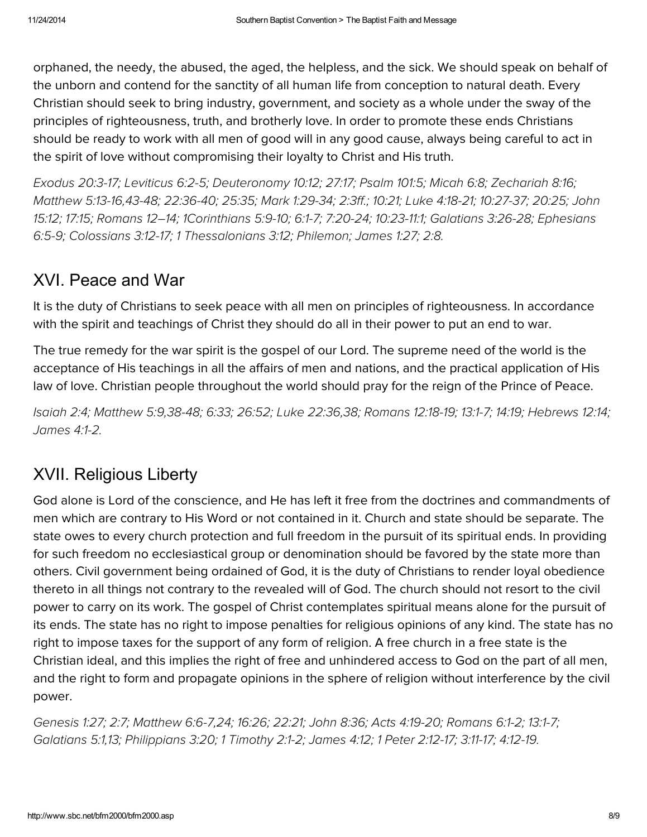orphaned, the needy, the abused, the aged, the helpless, and the sick. We should speak on behalf of the unborn and contend for the sanctity of all human life from conception to natural death. Every Christian should seek to bring industry, government, and society as a whole under the sway of the principles of righteousness, truth, and brotherly love. In order to promote these ends Christians should be ready to work with all men of good will in any good cause, always being careful to act in the spirit of love without compromising their loyalty to Christ and His truth.

[Exodus](http://biblia.com/bible/hcsb/Exodus%2020.3-17) 20:3-17; [Leviticus](http://biblia.com/bible/hcsb/Leviticus%206.2-5) 6:2-5; [Deuteronomy](http://biblia.com/bible/hcsb/Deuteronomy%2010.12) 10:12; [27:17;](http://biblia.com/bible/hcsb/Deuteronomy%2027.17) [Psalm](http://biblia.com/bible/hcsb/Psalm%20101.5) 101:5; [Micah](http://biblia.com/bible/hcsb/Micah%206.8) 6:8; [Zechariah](http://biblia.com/bible/hcsb/Zechariah%208.16) 8:16; [Matthew](http://biblia.com/bible/hcsb/Matthew%205.13-16) [5:13-16,43-48;](http://biblia.com/bible/hcsb/John%2015.12) [22:36-40;](http://biblia.com/bible/hcsb/Matthew%2022.36-40) [25:35;](http://biblia.com/bible/hcsb/Matthew%2025.35) Mark [1:29-34;](http://biblia.com/bible/hcsb/Mark%201.29-34) [2:3ff.](http://biblia.com/bible/hcsb/Mark%202.3ff); [10:21;](http://biblia.com/bible/hcsb/Mark%2010.21) Luke [4:18-21;](http://biblia.com/bible/hcsb/Luke%204.18-21) [10:27-37;](http://biblia.com/bible/hcsb/Luke%2010.27-37) [20:25;](http://biblia.com/bible/hcsb/Luke%2020.25) John 15:12; [17:15;](http://biblia.com/bible/hcsb/John%2017.15) Romans 12–14; [1Corinthians](http://biblia.com/bible/hcsb/1Corinthians%205.9-10) 5:9-10; [6:1-7;](http://biblia.com/bible/hcsb/1Corinthians%206.1-7) [7:20-24;](http://biblia.com/bible/hcsb/1Corinthians%207.20-24) [10:23-11:1](http://biblia.com/bible/hcsb/1Corinthians%2010.23-11.1); [Galatians](http://biblia.com/bible/hcsb/Galatians%203.26-28) 3:26-28; Ephesians 6:5-9; [Colossians](http://biblia.com/bible/hcsb/Colossians%203.12-17) 3:12-17; 1 [Thessalonians](http://biblia.com/bible/hcsb/1%20Thessalonians%203.12) 3:12; Philemon; [James](http://biblia.com/bible/hcsb/James%201.27) 1:27; [2:8.](http://biblia.com/bible/hcsb/James%202.8)

# XVI. Peace and War

It is the duty of Christians to seek peace with all men on principles of righteousness. In accordance with the spirit and teachings of Christ they should do all in their power to put an end to war.

The true remedy for the war spirit is the gospel of our Lord. The supreme need of the world is the acceptance of His teachings in all the affairs of men and nations, and the practical application of His law of love. Christian people throughout the world should pray for the reign of the Prince of Peace.

[Isaiah](http://biblia.com/bible/hcsb/Isaiah%202.4) 2:4; [Matthew](http://biblia.com/bible/hcsb/Matthew%205.9) 5:9[,38-48;](http://biblia.com/bible/hcsb/Matthew%205.38-48) [6:33;](http://biblia.com/bible/hcsb/Matthew%206.33) [26:52](http://biblia.com/bible/hcsb/Matthew%2026.52); Luke [22:36](http://biblia.com/bible/hcsb/Luke%2022.36)[,38;](http://biblia.com/bible/hcsb/Luke%2022.38) [Romans](http://biblia.com/bible/hcsb/Romans%2012.18-19) 12:18-19; [13:1-7;](http://biblia.com/bible/hcsb/Romans%2013.1-7) [14:19;](http://biblia.com/bible/hcsb/Romans%2014.19) [Hebrews](http://biblia.com/bible/hcsb/Hebrews%2012.14) 12:14; [James](http://biblia.com/bible/hcsb/James%204.1-2) 4:1-2.

# XVII. Religious Liberty

God alone is Lord of the conscience, and He has left it free from the doctrines and commandments of men which are contrary to His Word or not contained in it. Church and state should be separate. The state owes to every church protection and full freedom in the pursuit of its spiritual ends. In providing for such freedom no ecclesiastical group or denomination should be favored by the state more than others. Civil government being ordained of God, it is the duty of Christians to render loyal obedience thereto in all things not contrary to the revealed will of God. The church should not resort to the civil power to carry on its work. The gospel of Christ contemplates spiritual means alone for the pursuit of its ends. The state has no right to impose penalties for religious opinions of any kind. The state has no right to impose taxes for the support of any form of religion. A free church in a free state is the Christian ideal, and this implies the right of free and unhindered access to God on the part of all men, and the right to form and propagate opinions in the sphere of religion without interference by the civil power.

[Genesis](http://biblia.com/bible/hcsb/Genesis%201.27) 1:27; [2:7;](http://biblia.com/bible/hcsb/Genesis%202.7) [Matthew](http://biblia.com/bible/hcsb/Matthew%206.6-7) 6:6-7[,24;](http://biblia.com/bible/hcsb/Matthew%206.24) [16:26;](http://biblia.com/bible/hcsb/Matthew%2016.26) [22:21;](http://biblia.com/bible/hcsb/Matthew%2022.21) [John](http://biblia.com/bible/hcsb/John%208.36) 8:36; Acts [4:19-20](http://biblia.com/bible/hcsb/Acts%204.19-20); [Romans](http://biblia.com/bible/hcsb/Romans%206.1-2) 6:1-2; [13:1-7;](http://biblia.com/bible/hcsb/Romans%2013.1-7) [Galatians](http://biblia.com/bible/hcsb/Galatians%205.1) 5:1[,13;](http://biblia.com/bible/hcsb/Galatians%205.13) [Philippians](http://biblia.com/bible/hcsb/Philippians%203.20) 3:20; 1 [Timothy](http://biblia.com/bible/hcsb/1%20Timothy%202.1-2) 2:1-2; [James](http://biblia.com/bible/hcsb/James%204.12) 4:12; 1 Peter [2:12-17;](http://biblia.com/bible/hcsb/1%20Peter%202.12-17) [3:11-17;](http://biblia.com/bible/hcsb/1%20Peter%203.11-17) [4:12-19.](http://biblia.com/bible/hcsb/1%20Peter%204.12-19)